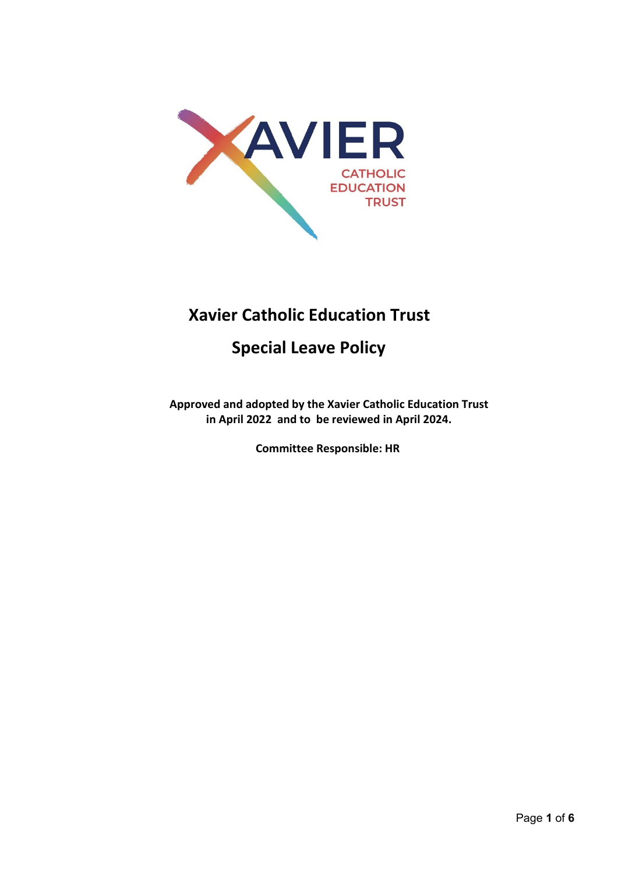

# **Xavier Catholic Education Trust**

# **Special Leave Policy**

**Approved and adopted by the Xavier Catholic Education Trust in April 2022 and to be reviewed in April 2024.** 

**Committee Responsible: HR**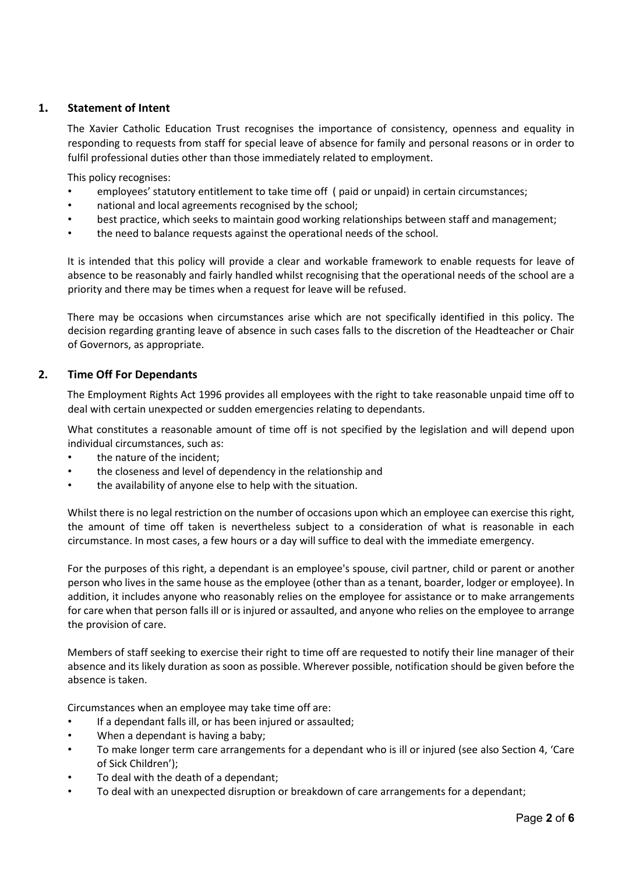### **1. Statement of Intent**

The Xavier Catholic Education Trust recognises the importance of consistency, openness and equality in responding to requests from staff for special leave of absence for family and personal reasons or in order to fulfil professional duties other than those immediately related to employment.

This policy recognises:

- employees' statutory entitlement to take time off ( paid or unpaid) in certain circumstances;
- national and local agreements recognised by the school;
- best practice, which seeks to maintain good working relationships between staff and management;
- the need to balance requests against the operational needs of the school.

It is intended that this policy will provide a clear and workable framework to enable requests for leave of absence to be reasonably and fairly handled whilst recognising that the operational needs of the school are a priority and there may be times when a request for leave will be refused.

There may be occasions when circumstances arise which are not specifically identified in this policy. The decision regarding granting leave of absence in such cases falls to the discretion of the Headteacher or Chair of Governors, as appropriate.

### **2. Time Off For Dependants**

The Employment Rights Act 1996 provides all employees with the right to take reasonable unpaid time off to deal with certain unexpected or sudden emergencies relating to dependants.

What constitutes a reasonable amount of time off is not specified by the legislation and will depend upon individual circumstances, such as:

- the nature of the incident;
- the closeness and level of dependency in the relationship and
- the availability of anyone else to help with the situation.

Whilst there is no legal restriction on the number of occasions upon which an employee can exercise this right, the amount of time off taken is nevertheless subject to a consideration of what is reasonable in each circumstance. In most cases, a few hours or a day will suffice to deal with the immediate emergency.

For the purposes of this right, a dependant is an employee's spouse, civil partner, child or parent or another person who lives in the same house as the employee (other than as a tenant, boarder, lodger or employee). In addition, it includes anyone who reasonably relies on the employee for assistance or to make arrangements for care when that person falls ill or is injured or assaulted, and anyone who relies on the employee to arrange the provision of care.

Members of staff seeking to exercise their right to time off are requested to notify their line manager of their absence and its likely duration as soon as possible. Wherever possible, notification should be given before the absence is taken.

Circumstances when an employee may take time off are:

- If a dependant falls ill, or has been injured or assaulted;
- When a dependant is having a baby;
- To make longer term care arrangements for a dependant who is ill or injured (see also Section 4, 'Care of Sick Children');
- To deal with the death of a dependant;
- To deal with an unexpected disruption or breakdown of care arrangements for a dependant;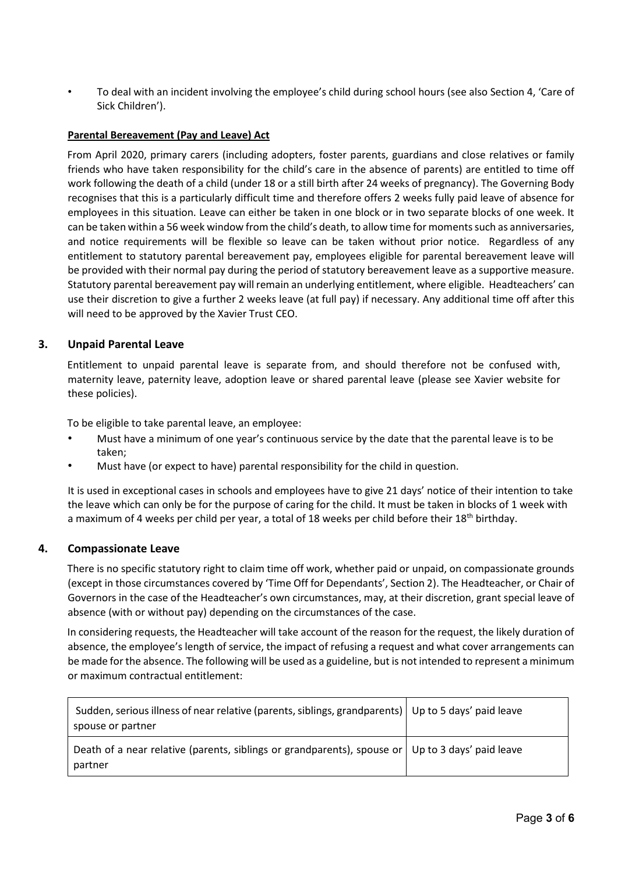• To deal with an incident involving the employee's child during school hours (see also Section 4, 'Care of Sick Children').

### **Parental Bereavement (Pay and Leave) Act**

From April 2020, primary carers (including adopters, foster parents, guardians and close relatives or family friends who have taken responsibility for the child's care in the absence of parents) are entitled to time off work following the death of a child (under 18 or a still birth after 24 weeks of pregnancy). The Governing Body recognises that this is a particularly difficult time and therefore offers 2 weeks fully paid leave of absence for employees in this situation. Leave can either be taken in one block or in two separate blocks of one week. It can be taken within a 56 week window from the child's death, to allow time for moments such as anniversaries, and notice requirements will be flexible so leave can be taken without prior notice. Regardless of any entitlement to statutory parental bereavement pay, employees eligible for parental bereavement leave will be provided with their normal pay during the period of statutory bereavement leave as a supportive measure. Statutory parental bereavement pay will remain an underlying entitlement, where eligible. Headteachers' can use their discretion to give a further 2 weeks leave (at full pay) if necessary. Any additional time off after this will need to be approved by the Xavier Trust CEO.

### **3. Unpaid Parental Leave**

Entitlement to unpaid parental leave is separate from, and should therefore not be confused with, maternity leave, paternity leave, adoption leave or shared parental leave (please see Xavier website for these policies).

To be eligible to take parental leave, an employee:

- Must have a minimum of one year's continuous service by the date that the parental leave is to be taken;
- Must have (or expect to have) parental responsibility for the child in question.

It is used in exceptional cases in schools and employees have to give 21 days' notice of their intention to take the leave which can only be for the purpose of caring for the child. It must be taken in blocks of 1 week with a maximum of 4 weeks per child per year, a total of 18 weeks per child before their 18<sup>th</sup> birthday.

### **4. Compassionate Leave**

There is no specific statutory right to claim time off work, whether paid or unpaid, on compassionate grounds (except in those circumstances covered by 'Time Off for Dependants', Section 2). The Headteacher, or Chair of Governors in the case of the Headteacher's own circumstances, may, at their discretion, grant special leave of absence (with or without pay) depending on the circumstances of the case.

In considering requests, the Headteacher will take account of the reason for the request, the likely duration of absence, the employee's length of service, the impact of refusing a request and what cover arrangements can be made for the absence. The following will be used as a guideline, but is not intended to represent a minimum or maximum contractual entitlement:

| Sudden, serious illness of near relative (parents, siblings, grandparents)   Up to 5 days' paid leave<br>spouse or partner |  |
|----------------------------------------------------------------------------------------------------------------------------|--|
| Death of a near relative (parents, siblings or grandparents), spouse or Up to 3 days' paid leave<br>partner                |  |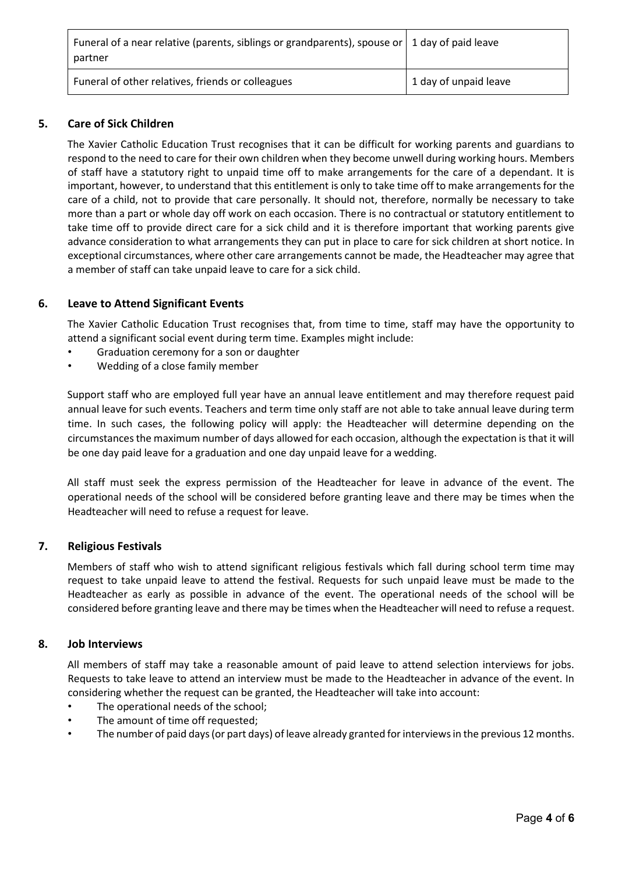| Funeral of a near relative (parents, siblings or grandparents), spouse or 1 day of paid leave<br>partner |                         |
|----------------------------------------------------------------------------------------------------------|-------------------------|
| Funeral of other relatives, friends or colleagues                                                        | 1 1 day of unpaid leave |

## **5. Care of Sick Children**

The Xavier Catholic Education Trust recognises that it can be difficult for working parents and guardians to respond to the need to care for their own children when they become unwell during working hours. Members of staff have a statutory right to unpaid time off to make arrangements for the care of a dependant. It is important, however, to understand that this entitlement is only to take time off to make arrangements for the care of a child, not to provide that care personally. It should not, therefore, normally be necessary to take more than a part or whole day off work on each occasion. There is no contractual or statutory entitlement to take time off to provide direct care for a sick child and it is therefore important that working parents give advance consideration to what arrangements they can put in place to care for sick children at short notice. In exceptional circumstances, where other care arrangements cannot be made, the Headteacher may agree that a member of staff can take unpaid leave to care for a sick child.

### **6. Leave to Attend Significant Events**

The Xavier Catholic Education Trust recognises that, from time to time, staff may have the opportunity to attend a significant social event during term time. Examples might include:

- Graduation ceremony for a son or daughter
- Wedding of a close family member

Support staff who are employed full year have an annual leave entitlement and may therefore request paid annual leave for such events. Teachers and term time only staff are not able to take annual leave during term time. In such cases, the following policy will apply: the Headteacher will determine depending on the circumstances the maximum number of days allowed for each occasion, although the expectation is that it will be one day paid leave for a graduation and one day unpaid leave for a wedding.

All staff must seek the express permission of the Headteacher for leave in advance of the event. The operational needs of the school will be considered before granting leave and there may be times when the Headteacher will need to refuse a request for leave.

### **7. Religious Festivals**

Members of staff who wish to attend significant religious festivals which fall during school term time may request to take unpaid leave to attend the festival. Requests for such unpaid leave must be made to the Headteacher as early as possible in advance of the event. The operational needs of the school will be considered before granting leave and there may be times when the Headteacher will need to refuse a request.

#### **8. Job Interviews**

All members of staff may take a reasonable amount of paid leave to attend selection interviews for jobs. Requests to take leave to attend an interview must be made to the Headteacher in advance of the event. In considering whether the request can be granted, the Headteacher will take into account:

- The operational needs of the school;
- The amount of time off requested;
- The number of paid days (or part days) of leave already granted for interviews in the previous 12 months.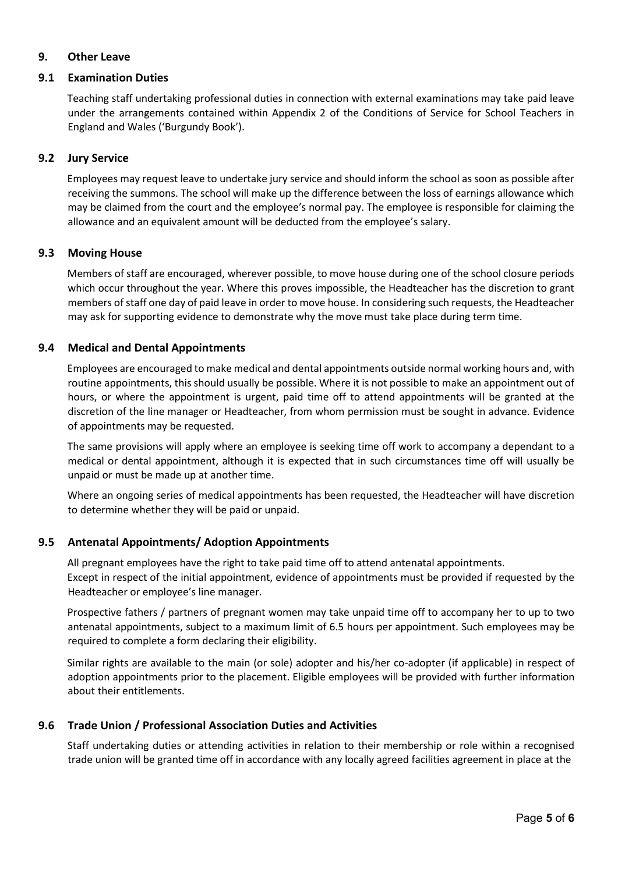### **9. Other Leave**

### **9.1 Examination Duties**

Teaching staff undertaking professional duties in connection with external examinations may take paid leave under the arrangements contained within Appendix 2 of the Conditions of Service for School Teachers in England and Wales ('Burgundy Book').

### **9.2 Jury Service**

Employees may request leave to undertake jury service and should inform the school as soon as possible after receiving the summons. The school will make up the difference between the loss of earnings allowance which may be claimed from the court and the employee's normal pay. The employee is responsible for claiming the allowance and an equivalent amount will be deducted from the employee's salary.

### **9.3 Moving House**

Members of staff are encouraged, wherever possible, to move house during one of the school closure periods which occur throughout the year. Where this proves impossible, the Headteacher has the discretion to grant members of staff one day of paid leave in order to move house. In considering such requests, the Headteacher may ask for supporting evidence to demonstrate why the move must take place during term time.

## **9.4 Medical and Dental Appointments**

Employees are encouraged to make medical and dental appointments outside normal working hours and, with routine appointments, this should usually be possible. Where it is not possible to make an appointment out of hours, or where the appointment is urgent, paid time off to attend appointments will be granted at the discretion of the line manager or Headteacher, from whom permission must be sought in advance. Evidence of appointments may be requested.

The same provisions will apply where an employee is seeking time off work to accompany a dependant to a medical or dental appointment, although it is expected that in such circumstances time off will usually be unpaid or must be made up at another time.

Where an ongoing series of medical appointments has been requested, the Headteacher will have discretion to determine whether they will be paid or unpaid.

## **9.5 Antenatal Appointments/ Adoption Appointments**

All pregnant employees have the right to take paid time off to attend antenatal appointments. Except in respect of the initial appointment, evidence of appointments must be provided if requested by the Headteacher or employee's line manager.

Prospective fathers / partners of pregnant women may take unpaid time off to accompany her to up to two antenatal appointments, subject to a maximum limit of 6.5 hours per appointment. Such employees may be required to complete a form declaring their eligibility.

Similar rights are available to the main (or sole) adopter and his/her co-adopter (if applicable) in respect of adoption appointments prior to the placement. Eligible employees will be provided with further information about their entitlements.

## **9.6 Trade Union / Professional Association Duties and Activities**

Staff undertaking duties or attending activities in relation to their membership or role within a recognised trade union will be granted time off in accordance with any locally agreed facilities agreement in place at the